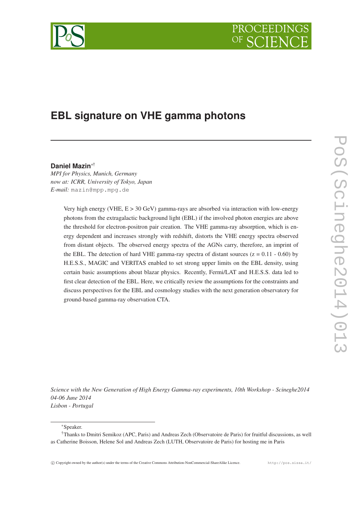# PROCEEDIN



# **EBL signature on VHE gamma photons**

## **Daniel Mazin**∗†

*MPI for Physics, Munich, Germany now at: ICRR, University of Tokyo, Japan E-mail:* mazin@mpp.mpg.de

> Very high energy (VHE, E > 30 GeV) gamma-rays are absorbed via interaction with low-energy photons from the extragalactic background light (EBL) if the involved photon energies are above the threshold for electron-positron pair creation. The VHE gamma-ray absorption, which is energy dependent and increases strongly with redshift, distorts the VHE energy spectra observed from distant objects. The observed energy spectra of the AGNs carry, therefore, an imprint of the EBL. The detection of hard VHE gamma-ray spectra of distant sources ( $z = 0.11 - 0.60$ ) by H.E.S.S., MAGIC and VERITAS enabled to set strong upper limits on the EBL density, using certain basic assumptions about blazar physics. Recently, Fermi/LAT and H.E.S.S. data led to first clear detection of the EBL. Here, we critically review the assumptions for the constraints and discuss perspectives for the EBL and cosmology studies with the next generation observatory for ground-based gamma-ray observation CTA.

*Science with the New Generation of High Energy Gamma-ray experiments, 10th Workshop - Scineghe2014 04-06 June 2014 Lisbon - Portugal*

<sup>∗</sup>Speaker.

<sup>†</sup>Thanks to Dmitri Semikoz (APC, Paris) and Andreas Zech (Observatoire de Paris) for fruitful discussions, as well as Catherine Boisson, Helene Sol and Andreas Zech (LUTH, Observatoire de Paris) for hosting me in Paris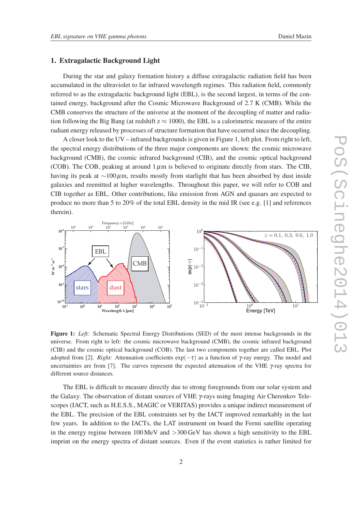#### 1. Extragalactic Background Light

During the star and galaxy formation history a diffuse extragalactic radiation field has been accumulated in the ultraviolet to far infrared wavelength regimes. This radiation field, commonly referred to as the extragalactic background light (EBL), is the second largest, in terms of the contained energy, background after the Cosmic Microwave Background of 2.7 K (CMB). While the CMB conserves the structure of the universe at the moment of the decoupling of matter and radiation following the Big Bang (at redshift  $z \approx 1000$ ), the EBL is a calorimetric measure of the entire radiant energy released by processes of structure formation that have occurred since the decoupling.

A closer look to the UV – infrared backgrounds is given in Figure 1, left plot. From right to left, the spectral energy distributions of the three major components are shown: the cosmic microwave background (CMB), the cosmic infrared background (CIB), and the cosmic optical background (COB). The COB, peaking at around  $1 \mu m$  is believed to originate directly from stars. The CIB, having its peak at  $\sim$ 100µm, results mostly from starlight that has been absorbed by dust inside galaxies and reemitted at higher wavelengths. Throughout this paper, we will refer to COB and CIB together as EBL. Other contributions, like emission from AGN and quasars are expected to produce no more than 5 to 20% of the total EBL density in the mid IR (see e.g. [1] and references therein).



Figure 1: *Left:* Schematic Spectral Energy Distributions (SED) of the most intense backgrounds in the universe. From right to left: the cosmic microwave background (CMB), the cosmic infrared background (CIB) and the cosmic optical background (COB). The last two components together are called EBL. Plot adopted from [2]. *Right:* Attenuation coefficients  $exp(-\tau)$  as a function of γ-ray energy. The model and uncertainties are from [7]. The curves represent the expected attenuation of the VHE  $\gamma$ -ray spectra for different source distances.

The EBL is difficult to measure directly due to strong foregrounds from our solar system and the Galaxy. The observation of distant sources of VHE γ-rays using Imaging Air Cherenkov Telescopes (IACT, such as H.E.S.S., MAGIC or VERITAS) provides a unique indirect measurement of the EBL. The precision of the EBL constraints set by the IACT improved remarkably in the last few years. In addition to the IACTs, the LAT instrument on board the Fermi satellite operating in the energy regime between 100 MeV and  $>$ 300 GeV has shown a high sensitivity to the EBL imprint on the energy spectra of distant sources. Even if the event statistics is rather limited for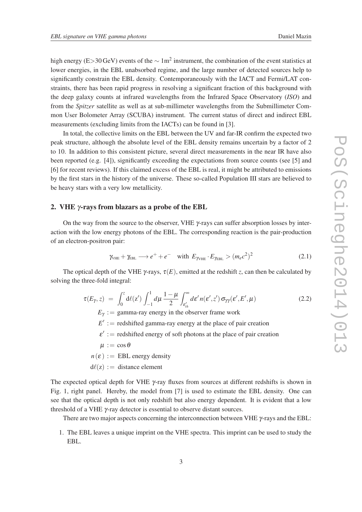high energy (E>30 GeV) events of the  $\sim 1$ m<sup>2</sup> instrument, the combination of the event statistics at lower energies, in the EBL unabsorbed regime, and the large number of detected sources help to significantly constrain the EBL density. Contemporaneously with the IACT and Fermi/LAT constraints, there has been rapid progress in resolving a significant fraction of this background with the deep galaxy counts at infrared wavelengths from the Infrared Space Observatory (*ISO*) and from the *Spitzer* satellite as well as at sub-millimeter wavelengths from the Submillimeter Common User Bolometer Array (SCUBA) instrument. The current status of direct and indirect EBL measurements (excluding limits from the IACTs) can be found in [3].

In total, the collective limits on the EBL between the UV and far-IR confirm the expected two peak structure, although the absolute level of the EBL density remains uncertain by a factor of 2 to 10. In addition to this consistent picture, several direct measurements in the near IR have also been reported (e.g. [4]), significantly exceeding the expectations from source counts (see [5] and [6] for recent reviews). If this claimed excess of the EBL is real, it might be attributed to emissions by the first stars in the history of the universe. These so-called Population III stars are believed to be heavy stars with a very low metallicity.

#### 2. VHE γ-rays from blazars as a probe of the EBL

On the way from the source to the observer, VHE  $\gamma$ -rays can suffer absorption losses by interaction with the low energy photons of the EBL. The corresponding reaction is the pair-production of an electron-positron pair:

$$
\gamma_{\text{VHE}} + \gamma_{\text{EBL}} \longrightarrow e^+ + e^- \quad \text{with } E_{\gamma_{\text{VHE}}} \cdot E_{\gamma_{\text{EBL}}} > (m_e c^2)^2 \tag{2.1}
$$

The optical depth of the VHE  $\gamma$ -rays,  $\tau(E)$ , emitted at the redshift *z*, can then be calculated by solving the three-fold integral:

$$
\tau(E_{\gamma},z) = \int_0^z d\ell(z') \int_{-1}^1 d\mu \frac{1-\mu}{2} \int_{\varepsilon'_{th}}^{\infty} d\varepsilon' n(\varepsilon',z') \sigma_{\gamma\gamma}(\varepsilon',E',\mu)
$$
\n(2.2)

 $E<sub>\gamma</sub> :=$  gamma-ray energy in the observer frame work

 $E' :=$  redshifted gamma-ray energy at the place of pair creation

 $\varepsilon'$  : = redshifted energy of soft photons at the place of pair creation

 $\mu := \cos \theta$ 

 $n(\varepsilon) :=$  EBL energy density

 $d\ell(z) :=$  distance element

The expected optical depth for VHE  $\gamma$ -ray fluxes from sources at different redshifts is shown in Fig. 1, right panel. Hereby, the model from [7] is used to estimate the EBL density. One can see that the optical depth is not only redshift but also energy dependent. It is evident that a low threshold of a VHE γ-ray detector is essential to observe distant sources.

There are two major aspects concerning the interconnection between VHE  $\gamma$ -rays and the EBL:

1. The EBL leaves a unique imprint on the VHE spectra. This imprint can be used to study the EBL.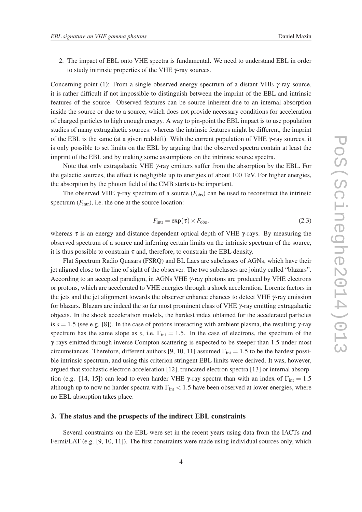- 
- 2. The impact of EBL onto VHE spectra is fundamental. We need to understand EBL in order to study intrinsic properties of the VHE γ-ray sources.

Concerning point (1): From a single observed energy spectrum of a distant VHE  $\gamma$ -ray source, it is rather difficult if not impossible to distinguish between the imprint of the EBL and intrinsic features of the source. Observed features can be source inherent due to an internal absorption inside the source or due to a source, which does not provide necessary conditions for acceleration of charged particles to high enough energy. A way to pin-point the EBL impact is to use population studies of many extragalactic sources: whereas the intrinsic features might be different, the imprint of the EBL is the same (at a given redshift). With the current population of VHE γ-ray sources, it is only possible to set limits on the EBL by arguing that the observed spectra contain at least the imprint of the EBL and by making some assumptions on the intrinsic source spectra.

Note that only extragalactic VHE γ-ray emitters suffer from the absorption by the EBL. For the galactic sources, the effect is negligible up to energies of about 100 TeV. For higher energies, the absorption by the photon field of the CMB starts to be important.

The observed VHE  $\gamma$ -ray spectrum of a source ( $F_{\text{obs}}$ ) can be used to reconstruct the intrinsic spectrum  $(F_{\text{intr}})$ , i.e. the one at the source location:

$$
F_{\text{intr}} = \exp(\tau) \times F_{\text{obs}},\tag{2.3}
$$

whereas  $\tau$  is an energy and distance dependent optical depth of VHE  $\gamma$ -rays. By measuring the observed spectrum of a source and inferring certain limits on the intrinsic spectrum of the source, it is thus possible to constrain  $\tau$  and, therefore, to constrain the EBL density.

Flat Spectrum Radio Quasars (FSRQ) and BL Lacs are subclasses of AGNs, which have their jet aligned close to the line of sight of the observer. The two subclasses are jointly called "blazars". According to an accepted paradigm, in AGNs VHE γ-ray photons are produced by VHE electrons or protons, which are accelerated to VHE energies through a shock acceleration. Lorentz factors in the jets and the jet alignment towards the observer enhance chances to detect VHE γ-ray emission for blazars. Blazars are indeed the so far most prominent class of VHE  $\gamma$ -ray emitting extragalactic objects. In the shock acceleration models, the hardest index obtained for the accelerated particles is  $s = 1.5$  (see e.g. [8]). In the case of protons interacting with ambient plasma, the resulting  $\gamma$ -ray spectrum has the same slope as *s*, i.e.  $\Gamma_{\text{int}} = 1.5$ . In the case of electrons, the spectrum of the γ-rays emitted through inverse Compton scattering is expected to be steeper than 1.5 under most circumstances. Therefore, different authors [9, 10, 11] assumed  $\Gamma_{int} = 1.5$  to be the hardest possible intrinsic spectrum, and using this criterion stringent EBL limits were derived. It was, however, argued that stochastic electron acceleration [12], truncated electron spectra [13] or internal absorption (e.g. [14, 15]) can lead to even harder VHE γ-ray spectra than with an index of  $\Gamma_{\text{int}} = 1.5$ although up to now no harder spectra with  $\Gamma_{int}$  < 1.5 have been observed at lower energies, where no EBL absorption takes place.

#### 3. The status and the prospects of the indirect EBL constraints

Several constraints on the EBL were set in the recent years using data from the IACTs and Fermi/LAT (e.g. [9, 10, 11]). The first constraints were made using individual sources only, which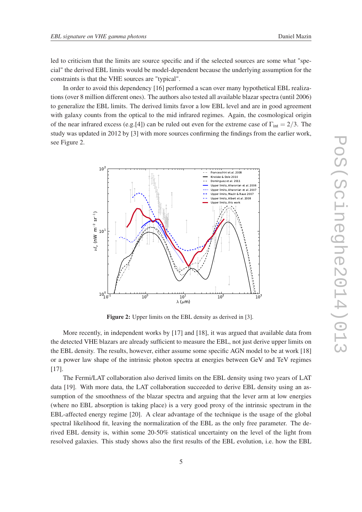led to criticism that the limits are source specific and if the selected sources are some what "special" the derived EBL limits would be model-dependent because the underlying assumption for the constraints is that the VHE sources are "typical".

In order to avoid this dependency [16] performed a scan over many hypothetical EBL realizations (over 8 million different ones). The authors also tested all available blazar spectra (until 2006) to generalize the EBL limits. The derived limits favor a low EBL level and are in good agreement with galaxy counts from the optical to the mid infrared regimes. Again, the cosmological origin of the near infrared excess (e.g.[4]) can be ruled out even for the extreme case of  $\Gamma_{\text{int}} = 2/3$ . The study was updated in 2012 by [3] with more sources confirming the findings from the earlier work, see Figure 2.



Figure 2: Upper limits on the EBL density as derived in [3].

More recently, in independent works by [17] and [18], it was argued that available data from the detected VHE blazars are already sufficient to measure the EBL, not just derive upper limits on the EBL density. The results, however, either assume some specific AGN model to be at work [18] or a power law shape of the intrinsic photon spectra at energies between GeV and TeV regimes [17].

The Fermi/LAT collaboration also derived limits on the EBL density using two years of LAT data [19]. With more data, the LAT collaboration succeeded to derive EBL density using an assumption of the smoothness of the blazar spectra and arguing that the lever arm at low energies (where no EBL absorption is taking place) is a very good proxy of the intrinsic spectrum in the EBL-affected energy regime [20]. A clear advantage of the technique is the usage of the global spectral likelihood fit, leaving the normalization of the EBL as the only free parameter. The derived EBL density is, within some 20-50% statistical uncertainty on the level of the light from resolved galaxies. This study shows also the first results of the EBL evolution, i.e. how the EBL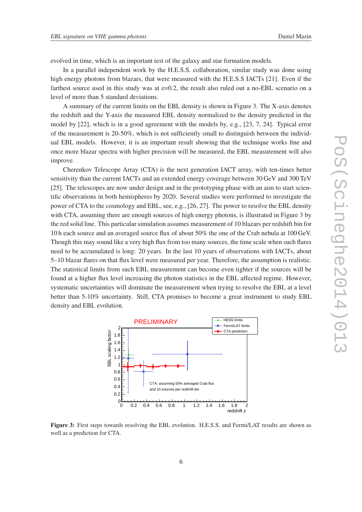evolved in time, which is an important test of the galaxy and star formation models.

In a parallel independent work by the H.E.S.S. collaboration, similar study was done using high energy photons from blazars, that were measured with the H.E.S.S IACTs [21]. Even if the farthest source used in this study was at  $z=0.2$ , the result also ruled out a no-EBL scenario on a level of more than 5 standard deviations.

A summary of the current limits on the EBL density is shown in Figure 3. The X-axis denotes the redshift and the Y-axis the measured EBL density normalized to the density predicted in the model by [22], which is in a good agreement with the models by, e.g., [23, 7, 24]. Typical error of the measurement is 20-50%, which is not sufficiently small to distinguish between the individual EBL models. However, it is an important result showing that the technique works fine and once more blazar spectra with higher precision will be measured, the EBL measurement will also improve.

Cherenkov Telescope Array (CTA) is the next generation IACT array, with ten-times better sensitivity than the current IACTs and an extended energy coverage between 30 GeV and 300 TeV [25]. The telescopes are now under design and in the prototyping phase with an aim to start scientific observations in both hemispheres by 2020. Several studies were performed to investigate the power of CTA to the cosmology and EBL, see, e.g., [26, 27]. The power to resolve the EBL density with CTA, assuming there are enough sources of high energy photons, is illustrated in Figure 3 by the red solid line. This particular simulation assumes measurement of 10 blazars per redshift bin for 10 h each source and an averaged source flux of about 50% the one of the Crab nebula at 100 GeV. Though this may sound like a very high flux from too many sources, the time scale when such flares need to be accumulated is long: 20 years. In the last 10 years of observations with IACTs, about 5–10 blazar flares on that flux level were measured per year. Therefore, the assumption is realistic. The statistical limits from such EBL measurement can become even tighter if the sources will be found at a higher flux level increasing the photon statistics in the EBL affected regime. However, systematic uncertainties will dominate the measurement when trying to resolve the EBL at a level better than 5-10% uncertainty. Still, CTA promises to become a great instrument to study EBL density and EBL evolution.



Figure 3: First steps towards resolving the EBL evolution. H.E.S.S. and Fermi/LAT results are shown as well as a prediction for CTA.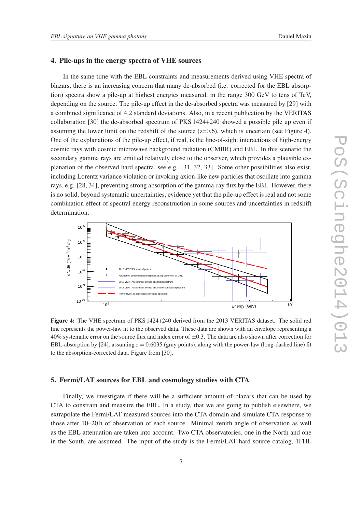#### 4. Pile-ups in the energy spectra of VHE sources

In the same time with the EBL constraints and measurements derived using VHE spectra of blazars, there is an increasing concern that many de-absorbed (i.e. corrected for the EBL absorption) spectra show a pile-up at highest energies measured, in the range 300 GeV to tens of TeV, depending on the source. The pile-up effect in the de-absorbed spectra was measured by [29] with a combined significance of 4.2 standard deviations. Also, in a recent publication by the VERITAS collaboration [30] the de-absorbed spectrum of PKS 1424+240 showed a possible pile up even if assuming the lower limit on the redshift of the source  $(z=0.6)$ , which is uncertain (see Figure 4). One of the explanations of the pile-up effect, if real, is the line-of-sight interactions of high-energy cosmic rays with cosmic microwave background radiation (CMBR) and EBL. In this scenario the secondary gamma rays are emitted relatively close to the observer, which provides a plausible explanation of the observed hard spectra, see e.g. [31, 32, 33]. Some other possibilities also exist, including Lorentz variance violation or invoking axion-like new particles that oscillate into gamma rays, e.g. [28, 34], preventing strong absorption of the gamma-ray flux by the EBL. However, there is no solid, beyond systematic uncertainties, evidence yet that the pile-up effect is real and not some combination effect of spectral energy reconstruction in some sources and uncertainties in redshift determination.



Figure 4: The VHE spectrum of PKS 1424+240 derived from the 2013 VERITAS dataset. The solid red line represents the power-law fit to the observed data. These data are shown with an envelope representing a 40% systematic error on the source flux and index error of  $\pm 0.3$ . The data are also shown after correction for EBL-absorption by [24], assuming  $z = 0.6035$  (gray points), along with the power-law (long-dashed line) fit to the absorption-corrected data. Figure from [30].

#### 5. Fermi/LAT sources for EBL and cosmology studies with CTA

Finally, we investigate if there will be a sufficient amount of blazars that can be used by CTA to constrain and measure the EBL. In a study, that we are going to publish elsewhere, we extrapolate the Fermi/LAT measured sources into the CTA domain and simulate CTA response to those after 10–20 h of observation of each source. Minimal zenith angle of observation as well as the EBL attenuation are taken into account. Two CTA observatories, one in the North and one in the South, are assumed. The input of the study is the Fermi/LAT hard source catalog, 1FHL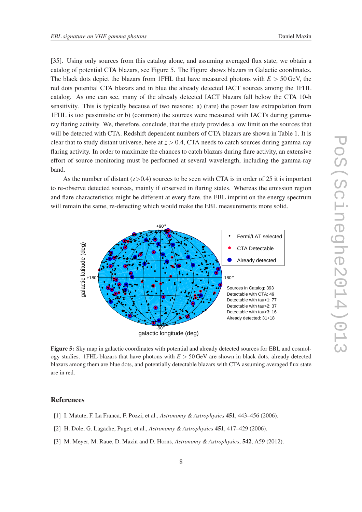[35]. Using only sources from this catalog alone, and assuming averaged flux state, we obtain a catalog of potential CTA blazars, see Figure 5. The Figure shows blazars in Galactic coordinates. The black dots depict the blazars from 1FHL that have measured photons with  $E > 50$  GeV, the red dots potential CTA blazars and in blue the already detected IACT sources among the 1FHL catalog. As one can see, many of the already detected IACT blazars fall below the CTA 10-h sensitivity. This is typically because of two reasons: a) (rare) the power law extrapolation from 1FHL is too pessimistic or b) (common) the sources were measured with IACTs during gammaray flaring activity. We, therefore, conclude, that the study provides a low limit on the sources that will be detected with CTA. Redshift dependent numbers of CTA blazars are shown in Table 1. It is clear that to study distant universe, here at *z* > 0.4, CTA needs to catch sources during gamma-ray flaring activity. In order to maximize the chances to catch blazars during flare activity, an extensive effort of source monitoring must be performed at several wavelength, including the gamma-ray band.

As the number of distant  $(z>0.4)$  sources to be seen with CTA is in order of 25 it is important to re-observe detected sources, mainly if observed in flaring states. Whereas the emission region and flare characteristics might be different at every flare, the EBL imprint on the energy spectrum will remain the same, re-detecting which would make the EBL measurements more solid.



Figure 5: Sky map in galactic coordinates with potential and already detected sources for EBL and cosmology studies. 1FHL blazars that have photons with *E* > 50 GeV are shown in black dots, already detected blazars among them are blue dots, and potentially detectable blazars with CTA assuming averaged flux state are in red.

### References

- [1] I. Matute, F. La Franca, F. Pozzi, et al., *Astronomy & Astrophysics* 451, 443–456 (2006).
- [2] H. Dole, G. Lagache, Puget, et al., *Astronomy & Astrophysics* 451, 417–429 (2006).
- [3] M. Meyer, M. Raue, D. Mazin and D. Horns, *Astronomy & Astrophysics*, 542, A59 (2012).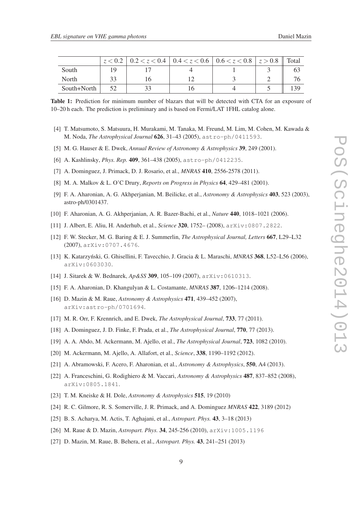|             | $z < 0.2$   $0.2 < z < 0.4$   $0.4 < z < 0.6$   $0.6 < z < 0.8$   $z > 0.8$   Total |  |  |
|-------------|-------------------------------------------------------------------------------------|--|--|
| South       |                                                                                     |  |  |
| North       |                                                                                     |  |  |
| South+North |                                                                                     |  |  |

Table 1: Prediction for minimum number of blazars that will be detected with CTA for an exposure of 10–20 h each. The prediction is preliminary and is based on Fermi/LAT 1FHL catalog alone.

- [4] T. Matsumoto, S. Matsuura, H. Murakami, M. Tanaka, M. Freund, M. Lim, M. Cohen, M. Kawada & M. Noda, *The Astrophysical Journal* 626, 31–43 (2005), astro-ph/0411593.
- [5] M. G. Hauser & E. Dwek, *Annual Review of Astronomy & Astrophysics* 39, 249 (2001).
- [6] A. Kashlinsky, *Phys. Rep.* 409, 361–438 (2005), astro-ph/0412235.
- [7] A. Dominguez, J. Primack, D. J. Rosario, et al., *MNRAS* 410, 2556-2578 (2011).
- [8] M. A. Malkov & L. O'C Drury, *Reports on Progress in Physics* 64, 429–481 (2001).
- [9] F. A. Aharonian, A. G. Akhperjanian, M. Beilicke, et al., *Astronomy & Astrophysics* 403, 523 (2003), astro-ph/0301437.
- [10] F. Aharonian, A. G. Akhperjanian, A. R. Bazer-Bachi, et al., *Nature* 440, 1018–1021 (2006).
- [11] J. Albert, E. Aliu, H. Anderhub, et al., *Science* 320, 1752– (2008), arXiv:0807.2822.
- [12] F. W. Stecker, M. G. Baring & E. J. Summerlin, *The Astrophysical Journal, Letters* 667, L29–L32 (2007), arXiv:0707.4676.
- [13] K. Katarzynski, G. Ghisellini, F. Tavecchio, J. Gracia & L. Maraschi, ´ *MNRAS* 368, L52–L56 (2006), arXiv:0603030.
- [14] J. Sitarek & W. Bednarek, *Ap&SS* 309, 105–109 (2007), arXiv:0610313.
- [15] F. A. Aharonian, D. Khangulyan & L. Costamante, *MNRAS* 387, 1206–1214 (2008).
- [16] D. Mazin & M. Raue, *Astronomy & Astrophysics* 471, 439–452 (2007), arXiv:astro-ph/0701694.
- [17] M. R. Orr, F. Krennrich, and E. Dwek, *The Astrophysical Journal*, 733, 77 (2011).
- [18] A. Dominguez, J. D. Finke, F. Prada, et al., *The Astrophysical Journal*, 770, 77 (2013).
- [19] A. A. Abdo, M. Ackermann, M. Ajello, et al., *The Astrophysical Journal*, 723, 1082 (2010).
- [20] M. Ackermann, M. Ajello, A. Allafort, et al., *Science*, 338, 1190–1192 (2012).
- [21] A. Abramowski, F. Acero, F. Aharonian, et al., *Astronomy & Astrophysics*, 550, A4 (2013).
- [22] A. Franceschini, G. Rodighiero & M. Vaccari, *Astronomy & Astrophysics* 487, 837–852 (2008), arXiv:0805.1841.
- [23] T. M. Kneiske & H. Dole, *Astronomy & Astrophysics* 515, 19 (2010)
- [24] R. C. Gilmore, R. S. Somerville, J. R. Primack, and A. Dominguez *MNRAS* 422, 3189 (2012)
- [25] B. S. Acharya, M. Actis, T. Aghajani, et al., *Astropart. Phys.* 43, 3–18 (2013)
- [26] M. Raue & D. Mazin, *Astropart. Phys.* 34, 245-256 (2010), arXiv:1005.1196
- [27] D. Mazin, M. Raue, B. Behera, et al., *Astropart. Phys.* 43, 241–251 (2013)